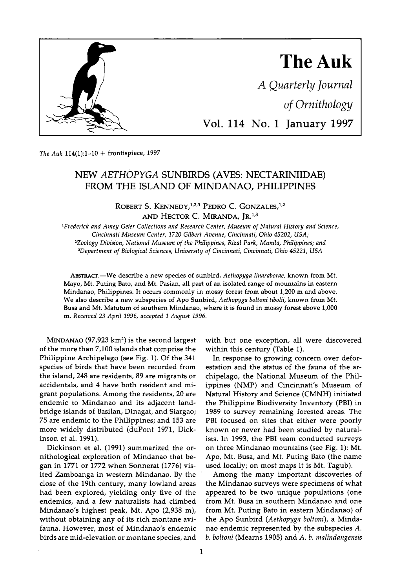

**The Auk 114(1):1-10 + frontispiece, 1997** 

# **NEW AETHOPYGA SUNBIRDS (AVES: NECTARINIIDAE) FROM THE ISLAND OF MINDANAO, PHILIPPINES**

ROBERT S. KENNEDY,<sup>1,2,3</sup> PEDRO C. GONZALES,<sup>1,2</sup> AND HECTOR C. MIRANDA, IR.<sup>1,3</sup>

**•Frederick and Amey Geier Collections and Research Center, Museum of Natural History and Science, Cincinnati Museum Center, 1720 Gilbert Avenue, Cincinnati, Ohio 45202, USA; 2Zoology Division, National Museum of the Philippines, Rizal Park, Manila, Philippines; and 3Department ofBiological Sciences, University of Cincinnati, Cincinnati, Ohio 45221, USA** 

ABSTRACT.-We describe a new species of sunbird, Aethopyga linaraborae, known from Mt. **Mayo, Mt. Puting Bato, and Mt. Pasian, all part of an isolated range of mountains in eastern Mindanao, Philippines. It occurs commonly in mossy forest from about 1,200 m and above. We also describe a new subspecies of Apo Sunbird, Aethopyga boltoni tibolii, known from Mt. Busa and Mt. Matutum of southern Mindanao, where it is found in mossy forest above 1,000 m. Received 23 April 1996, accepted I August 1996.** 

**MINDANAO (97,923 km 2) is the second largest of the more than 7,100 islands that comprise the Philippine Archipelago (see Fig. 1). Of the 341 species of birds that have been recorded from the island, 248 are residents, 89 are migrants or accidentals, and 4 have both resident and migrant populations. Among the residents, 20 are endemic to Mindanao and its adjacent landbridge islands of Basilan, Dinagat, and Siargao; 75 are endemic to the Philippines; and 153 are more widely distributed (duPont 1971, Dickinson et al. 1991).** 

**Dickinson et al. (1991) summarized the ornithological exploration of Mindanao that began in 1771 or 1772 when Sonnerat (1776) visited Zamboanga in western Mindanao. By the close of the 19th century, many lowland areas had been explored, yielding only five of the endemics, and a few naturalists had climbed Mindanao's highest peak, Mr. Apo (2,938 m), without obtaining any of its rich montane avifauna. However, most of Mindanao's endemic birds are mid-elevation or montane species, and** 

**with but one exception, all were discovered within this century (Table 1).** 

**In response to growing concern over deforestation and the status of the fauna of the archipelago, the National Museum of the Philippines (NMP) and Cincinnati's Museum of Natural History and Science (CMNH) initiated the Philippine Biodiversity Inventory (PBI) in 1989 to survey remaining forested areas. The PBI focused on sites that either were poorly known or never had been studied by naturalists. In 1993, the PBI team conducted surveys on three Mindanao mountains (see Fig. 1): Mr. Apo, Mt. Busa, and Mt. Puting Bato (the name used locally; on most maps it is Mr. Tagub).** 

**Among the many important discoveries of the Mindanao surveys were specimens of what appeared to be two unique populations (one from Mt. Busa in southern Mindanao and one from Mt. Puting Bato in eastern Mindanao) of the Apo Sunbird (Aethopyga boltoni), a Mindanao endemic represented by the subspecies A. b. boltoni (Mearns 1905) and A. b. malindangensis**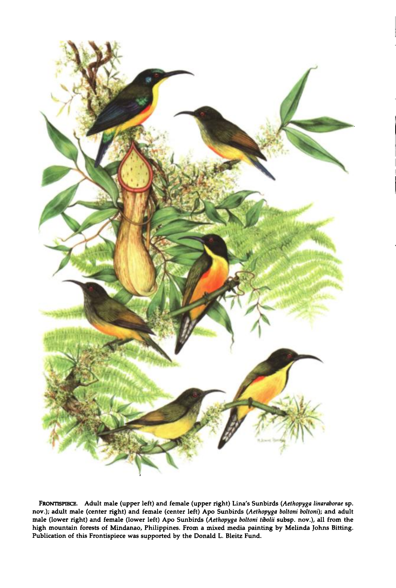

**FRONTISPIECE. Adult male (upper left) and female (upper right) Lina's Sunbirds (Aethopyga linaraborae sp. nov.); adult male (center right) and female (center left) Apo Sunbirds (Aethopyga boltoni boltoni); and adult**  male (lower right) and female (lower left) Apo Sunbirds (Aethopyga boltoni tibolii subsp. nov.), all from the **high mountain forests of Mindanao, Philippines. From a mixed media painting by Melinda Johns Bitting. Publication of this Frontispiece was supported by the Donald L. Bleitz Fund.**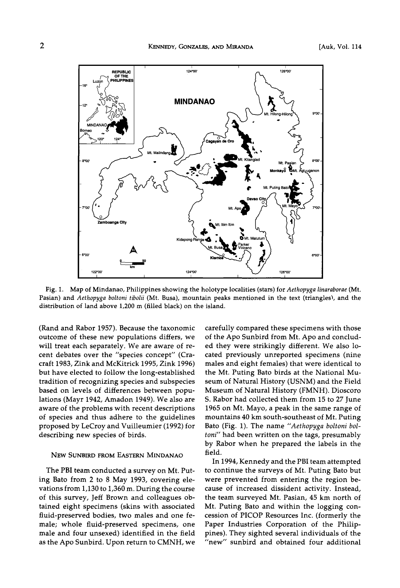

**Fig. 1. Map of Mindanao, Philippines showing the holotype localities (stars) for Aethopyga linaraborae (Mt.**  Pasian) and Aethopyga boltoni tibolii (Mt. Busa), mountain peaks mentioned in the text (triangles), and the **distribution of land above 1,200 m (filled black) on the island.** 

**(Rand and Rabor 1957). Because the taxonomic outcome of these new populations differs, we will treat each separately. We are aware of recent debates over the "species concept" (Cracraft 1983, Zink and McKitrick 1995, Zink 1996) but have elected to follow the long-established tradition of recognizing species and subspecies based on levels of differences between populations (Mayr 1942, Amadon 1949). We also are aware of the problems with recent descriptions of species and thus adhere to the guidelines proposed by LeCroy and Vuilleumier (1992) for describing new species of birds.** 

## **NEW SUNBIRD FROM EASTERN MINDANAO**

**The PBI team conducted a survey on Mt. Puting Bato from 2 to 8 May 1993, covering elevations from 1,130 to 1,360 m. During the course of this survey, Jeff Brown and colleagues obtained eight specimens (skins with associated fluid-preserved bodies, two males and one female; whole fluid-preserved specimens, one male and four unsexed) identified in the field as the Apo Sunbird. Upon return to CMNH, we**  **carefully compared these specimens with those of the Apo Sunbird from Mt. Apo and concluded they were strikingly different. We also located previously unreported specimens (nine males and eight females) that were identical to the Mt. Puting Bato birds at the National Museum of Natural History (USNM) and the Field Museum of Natural History (FMNH). Dioscoro S. Rabor had collected them from 15 to 27 June 1965 on Mr. Mayo, a peak in the same range of mountains 40 km south-southeast of Mt. Puting Bato (Fig. 1). The name "Aethopyga boltoni boltoni" had been written on the tags, presumably by Rabor when he prepared the labels in the field.** 

**In 1994, Kennedy and the PBI team attempted to continue the surveys of Mt. Puting Bato but were prevented from entering the region because of increased dissident activity. Instead, the team surveyed Mt. Pasian, 45 km north of Mt. Puting Bato and within the logging concession of PICOP Resources Inc. (formerly the Paper Industries Corporation of the Philippines). They sighted several individuals of the "new" sunbird and obtained four additional**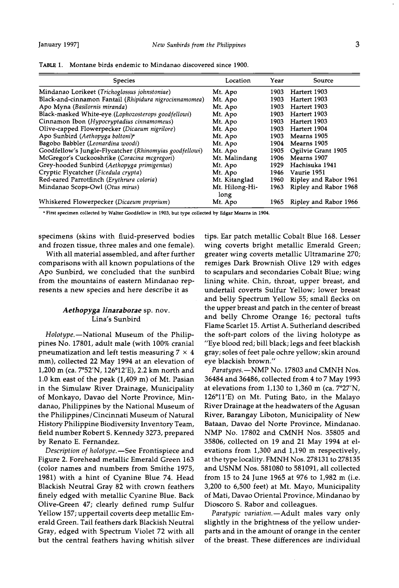**TABLE 1.** Montane birds endemic to Mindanao discovered since 1900.

| <b>Species</b>                                          | Location               | Year | Source                |
|---------------------------------------------------------|------------------------|------|-----------------------|
| Mindanao Lorikeet (Trichoglossus johnstoniae)           | Mt. Apo                | 1903 | Hartert 1903          |
| Black-and-cinnamon Fantail (Rhipidura nigrocinnamomea)  | Mt. Apo                | 1903 | Hartert 1903          |
| Apo Myna (Basilornis miranda)                           | Mt. Apo                | 1903 | Hartert 1903          |
| Black-masked White-eye (Lophozosterops goodfellowi)     | Mt. Apo                | 1903 | Hartert 1903          |
| Cinnamon Ibon (Hypocryptadius cinnamomeus)              | Mt. Apo                | 1903 | Hartert 1903          |
| Olive-capped Flowerpecker (Dicaeum nigrilore)           | Mt. Apo                | 1903 | Hartert 1904          |
| Apo Sunbird (Aethopyga boltoni) <sup>a</sup>            | Mt. Apo                | 1903 | Mearns 1905           |
| Bagobo Babbler (Leonardina woodi)                       | Mt. Apo                | 1904 | Mearns 1905           |
| Goodfellow's Jungle-Flycatcher (Rhinomyias goodfellowi) | Mt. Apo                | 1905 | Ogilvie Grant 1905    |
| McGregor's Cuckooshrike (Coracina mcgregori)            | Mt. Malindang          | 1906 | Mearns 1907           |
| Grey-hooded Sunbird (Aethopyga primigenius)             | Mt. Apo                | 1929 | Hachisuka 1941        |
| Cryptic Flycatcher (Ficedula crypta)                    | Mt. Apo                | 1946 | Vaurie 1951           |
| Red-eared Parrotfinch (Erythrura coloria)               | Mt. Kitanglad          | 1960 | Ripley and Rabor 1961 |
| Mindanao Scops-Owl (Otus mirus)                         | Mt. Hilong-Hi-<br>long | 1963 | Ripley and Rabor 1968 |
| Whiskered Flowerpecker (Dicaeum proprium)               | Mt. Apo                | 1965 | Ripley and Rabor 1966 |

**ß First specimen collected by Walter Goodfellow in 1903, but type collected by Edgar Mearns in 1904.** 

**specimens (skins with fluid-preserved bodies and frozen tissue, three males and one female).** 

**With all material assembled, and after further comparisons with all known populations of the Apo Sunbird, we concluded that the sunbird from the mountains of eastern Mindanao represents a new species and here describe it as** 

# **Aethopyga linaraborae sp. nov. Lina's Sunbird**

Holotype.-National Museum of the Philip**pines No. 17801, adult male (with 100% cranial**  pneumatization and left testis measuring  $7 \times 4$ **mm), collected 22 May 1994 at an elevation of 1,200 m (ca. 7ø52'N, 126ø12'E), 2.2 km north and 1.0 km east of the peak (1,409 m) of Mr. Pasian in the Simulaw River Drainage, Municipality of Monkayo, Davao del Norte Province, Mindanao, Philippines by the National Museum of the Philippines/Cincinnati Museum of Natural History Philippine Biodiversity Inventory Team, field number Robert S. Kennedy 3273, prepared by Renato E. Fernandez.** 

Description of holotype.-See Frontispiece and **Figure 2. Forehead metallic Emerald Green 163 (color names and numbers from Smithe 1975, 1981) with a hint of Cyanine Blue, 74. Head Blackish Neutral Gray 82 with crown feathers finely edged with metallic Cyanine Blue. Back Olive-Green 47; clearly defined rump Sulfur Yellow 157; uppertail coverts deep metallic Emerald Green. Tail feathers dark Blackish Neutral Gray, edged with Spectrum Violet 72 with all but the central feathers having whitish silver** 

**tips. Ear patch metallic Cobalt Blue 168. Lesser wing coverts bright metallic Emerald Green; greater wing coverts metallic Ultramarine 270; remiges Dark Brownish Olive 129 with edges to scapulars and secondaries Cobalt Blue; wing lining white. Chin, throat, upper breast, and undertail coverts Sulfur Yellow; lower breast and belly Spectrum Yellow 55; small flecks on the upper breast and patch in the center of breast and belly Chrome Orange 16; pectoral tufts Flame Scarlet 15. Artist A. Sutherland described the soft-part colors of the living holotype as "Eye blood red; bill black; legs and feet blackish gray; soles of feet pale ochre yellow; skin around eye blackish brown."** 

Paratypes.-NMP No. 17803 and CMNH Nos. **36484 and 36486, collected from 4 to 7 May 1993 at elevations from 1,130 to 1,360 m (ca. 7ø27'N, 126ø11'E) on Mt. Puting Bato, in the Malayo River Drainage at the headwaters of the Agusan River, Barangay Liboton, Municipality of New Bataan, Davao del Norte Province, Mindanao. NMP No. 17802 and CMNH Nos. 35805 and 35806, collected on 19 and 21 May 1994 at elevations from 1,300 and 1,190 m respectively, at the type locality. FMNH Nos. 278131 to 278135 and USNM Nos. 581080 to 581091, all collected from 15 to 24 June 1965 at 976 to 1,982 m (i.e. 3,200 to 6,500 feet) at Mr. Mayo, Municipality of Mati, Davao Oriental Province, Mindanao by Dioscoro S. Rabor and colleagues.** 

Paratypic variation.-Adult males vary only **slightly in the brightness of the yellow underparts and in the amount of orange in the center of the breast. These differences are individual**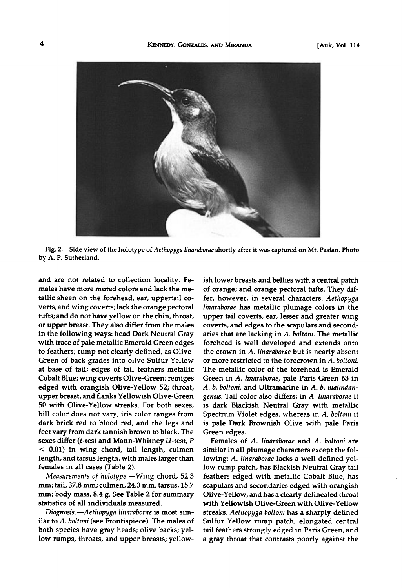

**Fig. 2. Side view of the holotype of Aethopyga linaraborae shortly after it was captured on Mt. Pasian. Photo by A. P. Sutherland.** 

**and are not related to collection locality. Females have more muted colors and lack the metallic sheen on the forehead, ear, uppertail coverts, and wing coverts; lack the orange pectoral tufts; and do not have yellow on the chin, throat, or upper breast. They also differ from the males in the following ways: head Dark Neutral Gray with trace of pale metallic Emerald Green edges to feathers; rump not clearly defined, as Olive-Green of back grades into olive Sulfur Yellow at base of tail; edges of tail feathers metallic Cobalt Blue; wing coverts Olive-Green; remiges edged with orangish Olive-Yellow 52; throat, upper breast, and flanks Yellowish Olive-Green 50 with Olive-Yellow streaks. For both sexes, bill color does not vary, iris color ranges from dark brick red to blood red, and the legs and feet vary from dark tannish brown to black. The sexes differ (t-test and Mann-Whitney U-test, P < 0.01) in wing chord, tail length, culmen length, and tarsus length, with males larger than females in all cases (Table 2).** 

Measurements of holotype.-Wing chord, 52.3 **mm; tail, 37.8 mm; culmen, 24.3 mm; tarsus, 15.7 mm; body mass, 8.4 g. See Table 2 for summary statistics of all individuals measured.** 

Diagnosis.-Aethopyga linaraborae is most sim**ilar to A. boltoni (see Frontispiece). The males of both species have gray heads; olive backs; yellow rumps, throats, and upper breasts; yellow-** **ish lower breasts and bellies with a central patch of orange; and orange pectoral tufts. They differ, however, in several characters. Aethopyga linaraborae has metallic plumage colors in the upper tail coverts, ear, lesser and greater wing coverts, and edges to the scapulars and second**aries that are lacking in A. boltoni. The metallic **forehead is well developed and extends onto the crown in A. linaraborae but is nearly absent or more restricted to the forecrown in A. boltoni. The metallic color of the forehead is Emerald Green in A. linaraborae, pale Paris Green 63 in A. b. boltoni, and Ultramarine in A. b. malindangensis. Tail color also differs; in A. linaraborae it is dark Blackish Neutral Gray with metallic**  Spectrum Violet edges, whereas in A. boltoni it **is pale Dark Brownish Olive with pale Paris Green edges.** 

**Females of A. linaraborae and A. boltoni are similar in all plumage characters except the following: A. linaraborae lacks a well-defined yellow rump patch, has Blackish Neutral Gray tail feathers edged with metallic Cobalt Blue, has scapulars and secondaries edged with orangish Olive-Yellow, and has a clearly delineated throat with Yellowish Olive-Green with Olive-Yellow streaks. Aethopyga boltoni has a sharply defined Sulfur Yellow rump patch, elongated central tail feathers strongly edged in Paris Green, and a gray throat that contrasts poorly against the**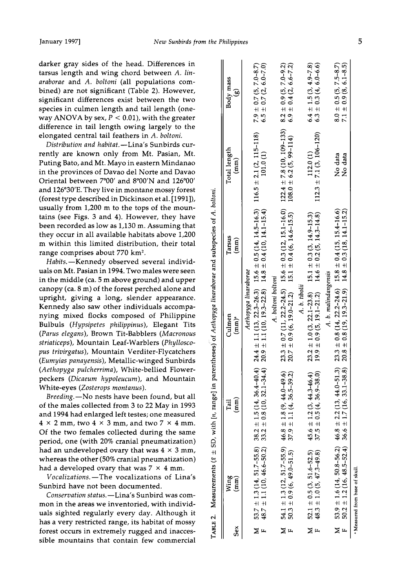**darker gray sides of the head. Differences in tarsus length and wing chord between A. linaraborae and A. boltoni (all populations combined) are not significant (Table 2). However, significant differences exist between the two species in culmen length and tail length (oneway ANOVA by sex,**  $P < 0.01$ **), with the greater difference in tail length owing largely to the elongated central tail feathers in A. boltoni.** 

Distribution and habitat.-Lina's Sunbirds cur**rently are known only from Mt. Pasian, Mt. Puting Bato, and Mt. Mayo in eastern Mindanao in the provinces of Davao del Norte and Davao**  Oriental between 7°00' and 8°00'N and 126°00' **and 126ø30'E. They live in montane mossy forest (forest type described in Dickinson et al. [1991]), usually from 1,200 m to the tops of the mountains (see Figs. 3 and 4). However, they have been recorded as low as 1,130 m. Assuming that they occur in all available habitats above 1,200 m within this limited distribution, their total**  range comprises about 770 km<sup>2</sup>.

Habits.-Kennedy observed several individ**uals on Mt. Pasian in 1994. Two males were seen in the middle (ca. 5 m above ground) and upper canopy (ca. 8m) of the forest perched alone and upright, giving a long, slender appearance. Kennedy also saw other individuals accompa-nying mixed flocks composed of Philippine Bulbuls (Hypsipetes philippinus), Elegant Tits (Parus elegans), Brown Tit-Babblers (Macronous striaticeps), Mountain Leaf-Warblers (Phylloscopus trivirgatus), Mountain Verditer-Flycatchers (Eumyias panayensis), Metallic-winged Sunbirds (Aethopyga pulcherrima), White-bellied Flowerpeckers (Dicaeum hypoleucum), and Mountain**  White-eyes (Zosterops montanus).

**Breeding.--No nests have been found, but all of the males collected from 3 to 22 May in 1993 and 1994 had enlarged left testes; one measured**   $4 \times 2$  mm, two  $4 \times 3$  mm, and two  $7 \times 4$  mm. **Of the two females collected during the same period, one (with 20% cranial pneumatization)**  had an undeveloped ovary that was  $4 \times 3$  mm, **whereas the other (50% cranial pneumatization)**  had a developed ovary that was  $7 \times 4$  mm.

**Vocalizations.--The vocalizations of Lina's Sunbird have not been documented.** 

Conservation status.-Lina's Sunbird was com**mon in the areas we inventoried, with individuals sighted regularly every day. Although it has a very restricted range, its habitat of mossy forest occurs in extremely rugged and inaccessible mountains that contain few commercial** 

|         |                                                                                                        |                                                                      |                                                                                                                                                                                                            | TABLE 2. Measurements ( $z = SD$ , with [n, range] in parentheses) of Aethopyga linaraborae and subspecies of A. boltoni.                                                          |                                            |                                                            |
|---------|--------------------------------------------------------------------------------------------------------|----------------------------------------------------------------------|------------------------------------------------------------------------------------------------------------------------------------------------------------------------------------------------------------|------------------------------------------------------------------------------------------------------------------------------------------------------------------------------------|--------------------------------------------|------------------------------------------------------------|
| secx    | Wing<br>$\binom{m}{n}$                                                                                 | $\binom{m}{n}$<br>Tail                                               | Culmen<br>$(mm)^a$                                                                                                                                                                                         | Tarsus<br>$\binom{mm}{mm}$                                                                                                                                                         | Total length<br>$(\text{mm})$              | Body mass<br>S                                             |
|         | $53.7 \pm 1.3(14, 51.7-55.8)$ 38.2<br>48.7 ± 1.1 (10, 46.6–50.2) 33.2                                  |                                                                      | Aethopyga linaraborae                                                                                                                                                                                      | $\pm$ 1.5 (14, 36.4-40.4) 24.4 $\pm$ 1.1 (13, 22.3-26.3) 15.6 $\pm$ 0.5 (14, 14.5-16.3)<br>$\pm$ 0.8 (10, 32.1-34.4) 20.9 $\pm$ 1.1 (10, 19.3-22.8) 14.8 $\pm$ 0.4 (10, 14.1-15.4) | $116.5 \pm 2.1 (2, 115 - 118)$<br>101.0(1) | $7.9 \pm 0.7$ (5, 7.0-8.7)<br>6.5 ± 0.7 (2, 6.0-7.0)       |
| Σ       | $54.1 \pm 1.3(12, 51.7-55.9)$ 46.8<br>50.3 ± 0.9 (6, 49.0-51.5) 37.9<br>$50.3 \pm 0.9(6, 49.0 - 51.5)$ | $\pm$ 1.8 (9, 44.0-49.6)<br>$\pm$ 1.1 (4, 36.5-39.2)                 | A. boltoni boltoni                                                                                                                                                                                         | 23.3 ± 0.7 (11, 22.2-24.5) 15.6 ± 0.3 (12, 15.1-16.0) 122.4 ± 7.8 (10, 109-133)<br>20.7 ± 0.9 (6, 19.0-21.2) 15.1 ± 0.4 (6, 14.6-15.5) 108.0 ± 6.2 (5, 99-114)                     |                                            | $8.2 \pm 0.9(5, 7.0 - 9.2)$<br>$6.9 \pm 0.4$ (2, 6.6-7.2)  |
| ≿<br>μ, | $52.1 \pm 0.5(3, 51.6 - 52.5)$<br>$48.3 \pm 1.0 (5, 47.3 - 49.8)$                                      | $\pm$ 1.2 (3, 44.3-46.4)<br>$\pm$ 0.5 (4, 36.9-38.0)<br>45.6<br>37.5 | $23.2 \pm 1.0$ (3, 22.1-23.8) 15.1 $\pm$ 0.3 (3, 14.9-15.3)<br>A. b. tibolii<br>$19.9 \pm 0.9$ (5, 19.1-21.2)                                                                                              | $14.6 \pm 0.2$ (5, 14.3-14.8)                                                                                                                                                      | $112.3 \pm 7.1$ (3, 106-120)<br>112.0(1)   | $6.4 \pm 1.5(3, 4.9 - 7.8)$<br>$6.3 \pm 0.3$ (4, 6.0-6.6)  |
|         | M 53.9 $\pm$ 1.6 (14, 50.8-56.2) 46.8<br>$50.2 \pm 1.2 (16, 48.5 - 52.4)$ 36.6                         |                                                                      | $\pm$ 2.2 (13, 44.0-51.3) 23.3 $\pm$ 0.8 (14, 22.2-24.6) 15.8 $\pm$ 0.4 (15, 15.4-16.6)<br>$\pm$ 1.7 (16, 33.1-38.8) 20.8 $\pm$ 0.8 (19, 19.3-21.9) 14.8 $\pm$ 0.3 (18, 14.1-15.2)<br>A. b. malindangensis |                                                                                                                                                                                    | No data<br>No data                         | $8.0 \pm 0.5$ (5, 7.5-8.7)<br>$7.1 \pm 0.9 (8, 6.1 - 8.5)$ |
|         | "Measured from base of skull                                                                           |                                                                      |                                                                                                                                                                                                            |                                                                                                                                                                                    |                                            |                                                            |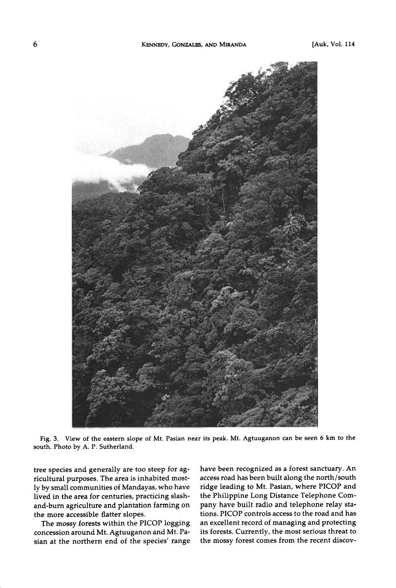

**Fig. 3. View of the eastern slope of Mt. Pasian near its peak. Mt. Agtuuganon can be seen 6 km to the south. Photo by A. P. Sutherland.** 

**tree species and generally are too steep for agricultural purposes. The area is inhabited mostly by small communities of Mandayas, who have lived in the area for centuries, practicing slashand-burn agriculture and plantation farming on the more accessible flatter slopes.** 

**The mossy forests within the PICOP logging concession around Mt. Agtuuganon and Mt. Pasian at the northern end of the species' range**  **have been recognized as a forest sanctuary. An access road has been built along the north/south ridge leading to Mt. Pasian, where PICOP and the Philippine Long Distance Telephone Company have built radio and telephone relay stations. PICOP controls access to the road and has an excellent record of managing and protecting its forests. Currently, the most serious threat to the mossy forest comes from the recent discoy-**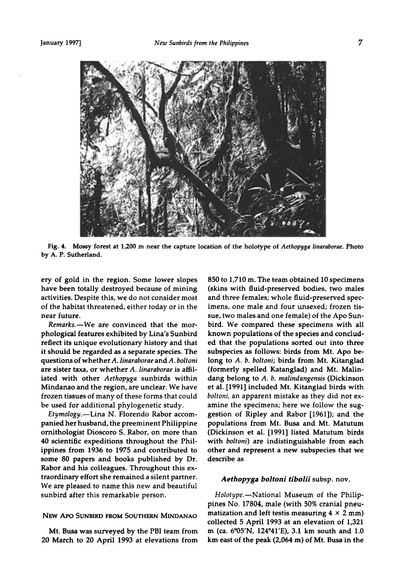

**Fig. 4. Mossy forest at 1,200 m near the capture location of the holotype of Aethopyga linaraborae. Photo by A. P. Sutherland.** 

**ery of gold in the region. Some lower slopes have been totally destroyed because of mining activities. Despite this, we do not consider most of the habitat threatened, either today or in the near future.** 

Remarks.-We are convinced that the mor**phological features exhibited by Lina's Sunbird reflect its unique evolutionary history and that it should be regarded as a separate species. The questions of whether A. linaraborae and A. boltoni are sister taxa, or whether A. linaraborae is affiliated with other Aethopyga sunbirds within Mindanao and the region, are unclear. We have frozen tissues of many of these forms that could be used for additional phylogenetic study.** 

**Etymology.--Lina N. Florendo Rabor accompanied her husband, the preeminent Philippine ornithologist Dioscoro S. Rabor, on more than 40 scientific expeditions throughout the Philippines from 1936 to 1975 and contributed to some 80 papers and books published by Dr. Rabor and his colleagues. Throughout this extraordinary effort she remained a silent partner. We are pleased to name this new and beautiful sunbird after this remarkable person.** 

# **NEW APO SUNBIRD FROM SOUTHERN MINDANAO**

**Mt. Busa was surveyed by the PBI team from 20 March to 20 April 1993 at elevations from**  **850 to 1,710 m. The team obtained 10 specimens (skins with fluid-preserved bodies, two males and three females; whole fluid-preserved specimens, one male and four unsexed; frozen tissue, two males and one female) of the Apo Sunbird. We compared these specimens with all known populations of the species and concluded that the populations sorted out into three subspecies as follows: birds from Mt. Apo belong to A. b. boltoni; birds from Mt. Kitanglad (formerly spelled Katanglad) and Mr. Malindang belong to A. b. malindangensis (Dickinson et al. [1991] included Mr. Kitanglad birds with boltoni, an apparent mistake as they did not examine the specimens; here we follow the suggestion of Ripley and Rabor [1961]); and the populations from Mt. Busa and Mt. Matutum (Dickinson et al. [1991] listed Matutum birds with boltoni) are indistinguishable from each other and represent a new subspecies that we describe as** 

# **Aethopyga boltoni tibolii subsp. nov.**

Holotype.-National Museum of the Philip**pines No. 17804, male (with 50% cranial pneumatization and left testis measuring 4 x 2 mm) collected 5 April 1993 at an elevation of 1,321 m (ca. 6ø05'N, 124ø41'E), 3.1 km south and 1.0 km east of the peak (2,064 m) of Mr. Busa in the**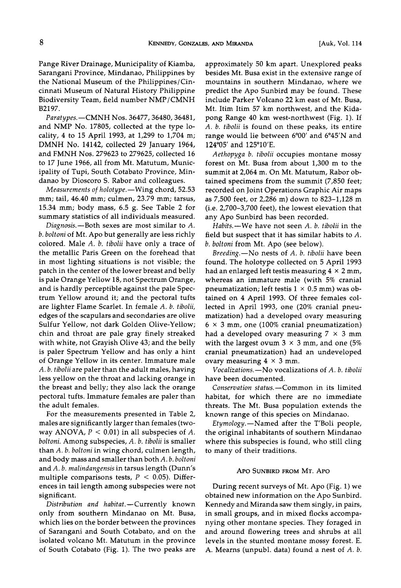**Pange River Drainage, Municipality of Kiamba, Sarangani Province, Mindanao, Philippines by the National Museum of the Philippines/Cincinnati Museum of Natural History Philippine Biodiversity Team, field number NMP/CMNH B2197.** 

**Paratypes.--CMNH Nos. 36477, 36480, 36481, and NMP No. 17805, collected at the type locality, 4 to 15 April 1993, at 1,299 to 1,704 m; DMNH No. 14142, collected 29 January 1964, and FMNH Nos. 279623 to 279625, collected 16 to 17 June 1966, all from Mt. Matutum, Municipality of Tupi, South Cotabato Province, Mindanao by Dioscoro S. Rabor and colleagues.** 

Measurements of holotype.—Wing chord, 52.53 **ram; tail, 46.40 ram; culmen, 23.79 ram; tarsus, 15.34 mm; body mass, 6.5 g. See Table 2 for summary statistics of all individuals measured.** 

Diagnosis.—Both sexes are most similar to A. **b. boltoni of Mt. Apo but generally are less richly colored. Male A. b. tibolii have only a trace of the metallic Paris Green on the forehead that in most lighting situations is not visible; the patch in the center of the lower breast and belly is pale Orange Yellow 18, not Spectrum Orange, and is hardly perceptible against the pale Spectrum Yellow around it; and the pectoral tufts**  are lighter Flame Scarlet. In female A. b. tibolii, **edges of the scapulars and secondaries are olive Sulfur Yellow, not dark Golden Olive-Yellow; chin and throat are pale gray finely streaked with white, not Grayish Olive 43; and the belly is paler Spectrum Yellow and has only a hint of Orange Yellow in its center. Immature male A. b. tibolii are paler than the adult males, having less yellow on the throat and lacking orange in the breast and belly; they also lack the orange pectoral tufts. Immature females are paler than the adult females.** 

**For the measurements presented in Table 2, males are significantly larger than females (two**way ANOVA,  $P < 0.01$ ) in all subspecies of A. **boltoni. Among subspecies, A. b. tibolii is smaller**  than A. b. boltoni in wing chord, culmen length, **and body mass and smaller than both A. b. boltoni and A. b. malindangensis in tarsus length (Dunn's multiple comparisons tests, P < 0.05). Differences in tail length among subspecies were not significant.** 

Distribution and habitat.-Currently known **only from southern Mindanao on Mt. Busa, which lies on the border between the provinces of Sarangani and South Cotabato, and on the isolated volcano Mt. Matutum in the province of South Cotabato (Fig. 1). The two peaks are** 

**approximately 50 km apart. Unexplored peaks besides Mt. Busa exist in the extensive range of mountains in southern Mindanao, where we predict the Apo Sunbird may be found. These include Parker Volcano 22 km east of Mt. Busa, Mt. Itim Itim 57 km northwest, and the Kidapong Range 40 km west-northwest (Fig. 1). If A. b. tibolii is found on these peaks, its entire**  range would lie between 6°00' and 6°45'N and **124o05 ' and 125ø10'E.** 

**Aethopyga b. tibolii occupies montane mossy forest on Mt. Busa from about 1,300 m to the summit at 2,064 m. On Mt. Matutum, Rabor obtained specimens from the summit (7,850 feet; recorded on Joint Operations Graphic Air maps as 7,500 feet, or 2,286 m) down to 823-1,128 m (i.e. 2,700-3,700 feet), the lowest elevation that any Apo Sunbird has been recorded.** 

Habits.-We have not seen A. b. tibolii in the **field but suspect that it has similar habits to A. b. boltoni from Mr. Apo (see below).** 

Breeding.-No nests of A. b. tibolii have been **found. The holotype collected on 5 April 1993 had an enlarged left testis measuring 4 x 2 mm, whereas an immature male (with 5% cranial**  pneumatization; left testis  $1 \times 0.5$  mm) was ob**tained on 4 April 1993. Of three females collected in April 1993, one (20% cranial pneumatization) had a developed ovary measuring**   $6 \times 3$  mm, one (100% cranial pneumatization) **had a developed ovary measuring 7 x 3 mm with the largest ovum 3 x 3 mm, and one (5% cranial pneumatization) had an undeveloped**  ovary measuring  $4 \times 3$  mm.

**Vocalizations.--No vocalizations of A. b. tibolii have been documented.** 

Conservation status.-Common in its limited **habitat, for which there are no immediate threats. The Mt. Busa population extends the known range of this species on Mindanao.** 

**Etymology.--Named after the T'Boli people, the original inhabitants of southern Mindanao where this subspecies is found, who still cling to many of their traditions.** 

## **APO SUNBIRD FROM MT. APO**

**During recent surveys of Mt. Apo (Fig. 1) we obtained new information on the Apo Sunbird. Kennedy and Miranda saw them singly, in pairs, in small groups, and in mixed flocks accompanying other montane species. They foraged in and around flowering trees and shrubs at all levels in the stunted montane mossy forest. E. A. Mearns (unpubl. data) found a nest of A. b.**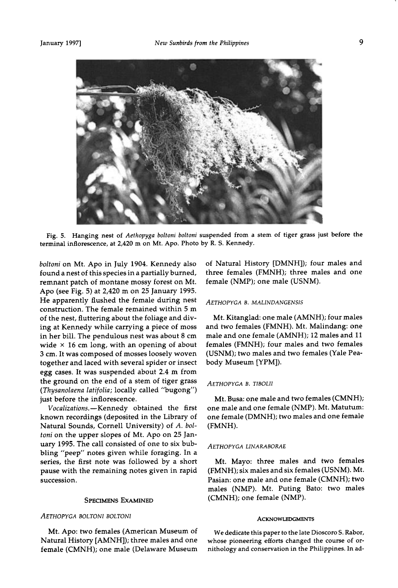

**Fig. 5. Hanging nest of Aethopyga boltoni boltoni suspended from a stem of tiger grass just before the terminal inflorescence, at 2,420 m on Mt. Apo. Photo by R. S. Kennedy.** 

**boltoni on Mt. Apo in July 1904. Kennedy also found a nest of this species in a partially burned, remnant patch of montane mossy forest on Mt. Apo (see Fig. 5) at 2,420 m on 25 January 1995. He apparently flushed the female during nest construction. The female remained within 5 m of the nest, fluttering about the foliage and diving at Kennedy while carrying a piece of moss in her bill. The pendulous nest was about 8 cm wide x 16 cm long, with an opening of about 3 cm. It was composed of mosses loosely woven together and laced with several spider or insect egg cases. It was suspended about 2.4 m from the ground on the end of a stem of tiger grass (Thysanolaena latifolia; locally called "bugong") just before the inflorescence.** 

 $Vocalizations. - Kennedy obtained the first$ **known recordings (deposited in the Library of Natural Sounds, Cornell University) of A. boltoni on the upper slopes of Mt. Apo on 25 January 1995. The call consisted of one to six bubbling "peep" notes given while foraging. In a series, the first note was followed by a short pause with the remaining notes given in rapid Succession.** 

## **SPECIMENS EXAMINED**

## **AETHOPYGA BOLTONI BOLTONI**

**Mt. Apo: two females (American Museum of Natural History [AMNH]); three males and one female (CMNH); one male (Delaware Museum** 

**of Natural History [DMNH]); four males and three females (FMNH); three males and one female (NMP); one male (USNM).** 

## **AETHOPYGA B. MALINDANGENSIS**

**Mt. Kitanglad: one male (AMNH); four males and two females (FMNH). Mt. Malindang: one male and one female (AMNH); 12 males and 11 females (FMNH); four males and two females (USNM); two males and two females (Yale Peabody Museum [YPM]).** 

# **AETHOPYGA B. TIBOLH**

**Mt. Busa: one male and two females (CMNH); one male and one female (NMP). Mt. Matutum: one female (DMNH); two males and one female (FMNH).** 

#### **AETHOPYGA LINARABORAE**

**Mt. Mayo: three males and two females (FMNH); six males and six females (USNM). Mt. Pasian: one male and one female (CMNH); two males (NMP). Mt. Puting Bato: two males (CMNH); one female (NMP).** 

#### **ACKNOWLEDGMENTS**

**We dedicate this paper to the late Dioscoro S. Rabor, whose pioneering efforts changed the course of ornithology and conservation in the Philippines. In ad-**